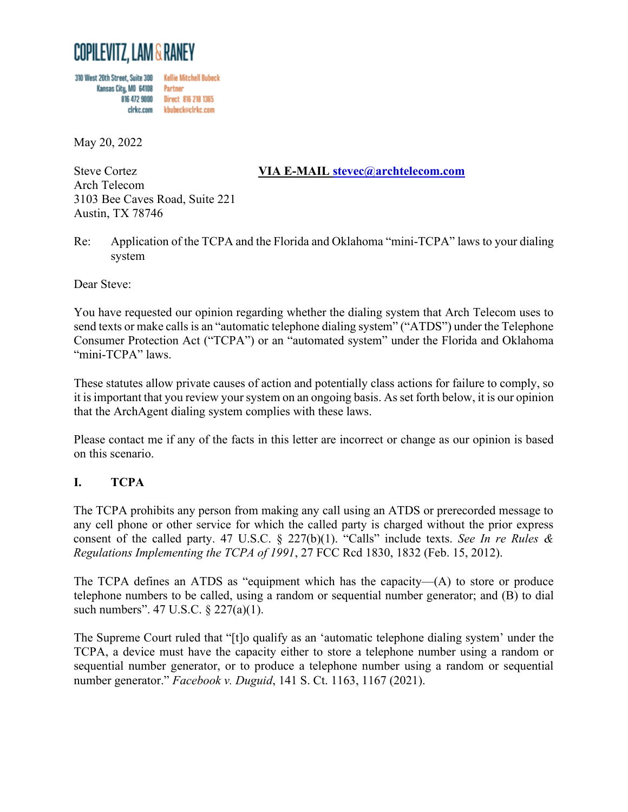

310 West 20th Street, Suite 300 **Kellie Mitchell Bubeck** Kansas City, MO 64108 Partner 816 472 9000 Direct 816 218 1365 cirkc.com kbubeck@cirkc.com

May 20, 2022

### Steve Cortez **VIA E-MAIL [stevec@archtelecom.com](mailto:stevec@archtelecom.com)** Arch Telecom 3103 Bee Caves Road, Suite 221 Austin, TX 78746

#### Re: Application of the TCPA and the Florida and Oklahoma "mini-TCPA" laws to your dialing system

Dear Steve:

You have requested our opinion regarding whether the dialing system that Arch Telecom uses to send texts or make callsis an "automatic telephone dialing system" ("ATDS") under the Telephone Consumer Protection Act ("TCPA") or an "automated system" under the Florida and Oklahoma "mini-TCPA" laws.

These statutes allow private causes of action and potentially class actions for failure to comply, so it is important that you review your system on an ongoing basis. As set forth below, it is our opinion that the ArchAgent dialing system complies with these laws.

Please contact me if any of the facts in this letter are incorrect or change as our opinion is based on this scenario.

## **I. TCPA**

The TCPA prohibits any person from making any call using an ATDS or prerecorded message to any cell phone or other service for which the called party is charged without the prior express consent of the called party. 47 U.S.C. § 227(b)(1). "Calls" include texts. *See In re Rules & Regulations Implementing the TCPA of 1991*, 27 FCC Rcd 1830, 1832 (Feb. 15, 2012).

The TCPA defines an ATDS as "equipment which has the capacity—(A) to store or produce telephone numbers to be called, using a random or sequential number generator; and (B) to dial such numbers". 47 U.S.C. § 227(a)(1).

The Supreme Court ruled that "[t]o qualify as an 'automatic telephone dialing system' under the TCPA, a device must have the capacity either to store a telephone number using a random or sequential number generator, or to produce a telephone number using a random or sequential number generator." *Facebook v. Duguid*, 141 S. Ct. 1163, 1167 (2021).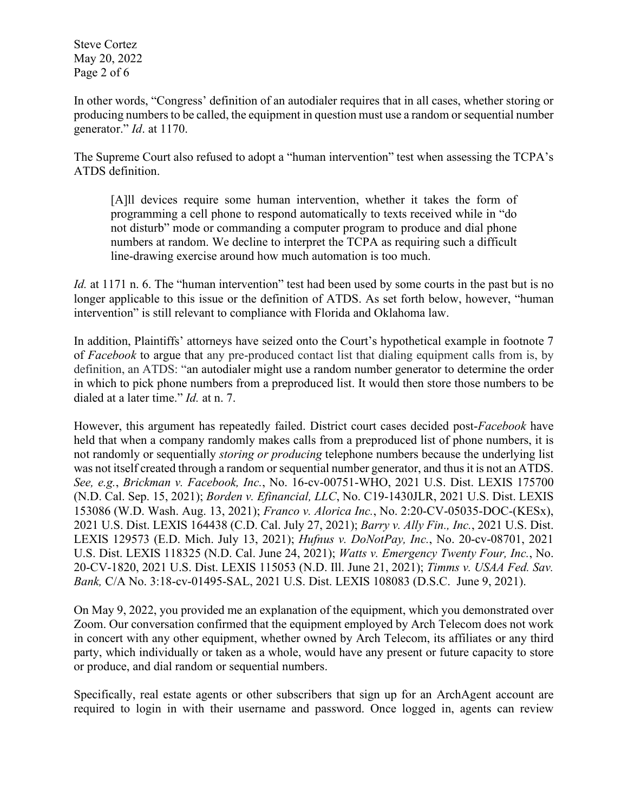Steve Cortez May 20, 2022 Page 2 of 6

In other words, "Congress' definition of an autodialer requires that in all cases, whether storing or producing numbers to be called, the equipment in question must use a random or sequential number generator." *Id*. at 1170.

The Supreme Court also refused to adopt a "human intervention" test when assessing the TCPA's ATDS definition.

[A]ll devices require some human intervention, whether it takes the form of programming a cell phone to respond automatically to texts received while in "do not disturb" mode or commanding a computer program to produce and dial phone numbers at random. We decline to interpret the TCPA as requiring such a difficult line-drawing exercise around how much automation is too much.

*Id.* at 1171 n. 6. The "human intervention" test had been used by some courts in the past but is no longer applicable to this issue or the definition of ATDS. As set forth below, however, "human intervention" is still relevant to compliance with Florida and Oklahoma law.

In addition, Plaintiffs' attorneys have seized onto the Court's hypothetical example in footnote 7 of *Facebook* to argue that any pre-produced contact list that dialing equipment calls from is, by definition, an ATDS: "an autodialer might use a random number generator to determine the order in which to pick phone numbers from a preproduced list. It would then store those numbers to be dialed at a later time." *Id.* at n. 7.

However, this argument has repeatedly failed. District court cases decided post-*Facebook* have held that when a company randomly makes calls from a preproduced list of phone numbers, it is not randomly or sequentially *storing or producing* telephone numbers because the underlying list was not itself created through a random or sequential number generator, and thus it is not an ATDS. *See, e.g.*, *Brickman v. Facebook, Inc.*, No. 16-cv-00751-WHO, 2021 U.S. Dist. LEXIS 175700 (N.D. Cal. Sep. 15, 2021); *Borden v. Efinancial, LLC*, No. C19-1430JLR, 2021 U.S. Dist. LEXIS 153086 (W.D. Wash. Aug. 13, 2021); *Franco v. Alorica Inc.*, No. 2:20-CV-05035-DOC-(KESx), 2021 U.S. Dist. LEXIS 164438 (C.D. Cal. July 27, 2021); *Barry v. Ally Fin., Inc.*, 2021 U.S. Dist. LEXIS 129573 (E.D. Mich. July 13, 2021); *Hufnus v. DoNotPay, Inc.*, No. 20-cv-08701, 2021 U.S. Dist. LEXIS 118325 (N.D. Cal. June 24, 2021); *Watts v. Emergency Twenty Four, Inc.*, No. 20-CV-1820, 2021 U.S. Dist. LEXIS 115053 (N.D. Ill. June 21, 2021); *Timms v. USAA Fed. Sav. Bank,* C/A No. 3:18-cv-01495-SAL, 2021 U.S. Dist. LEXIS 108083 (D.S.C. June 9, 2021).

On May 9, 2022, you provided me an explanation of the equipment, which you demonstrated over Zoom. Our conversation confirmed that the equipment employed by Arch Telecom does not work in concert with any other equipment, whether owned by Arch Telecom, its affiliates or any third party, which individually or taken as a whole, would have any present or future capacity to store or produce, and dial random or sequential numbers.

Specifically, real estate agents or other subscribers that sign up for an ArchAgent account are required to login in with their username and password. Once logged in, agents can review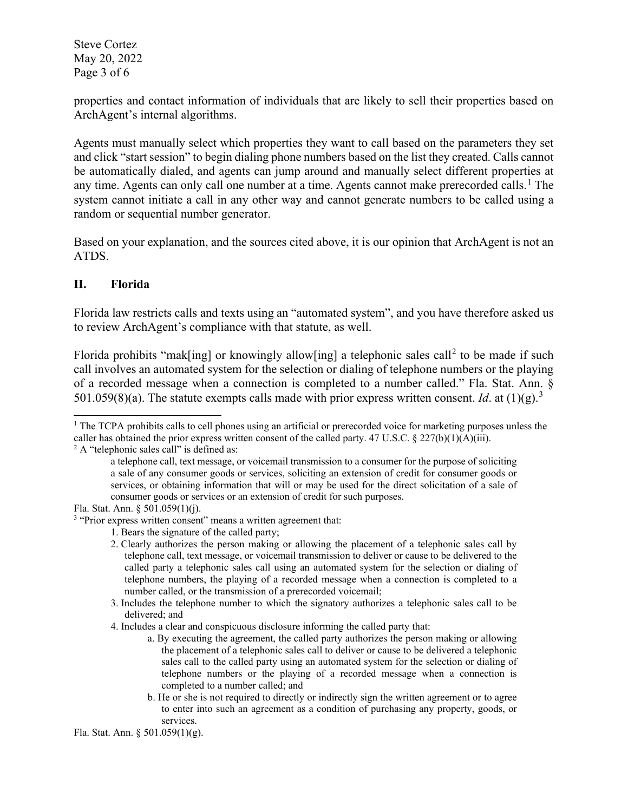Steve Cortez May 20, 2022 Page 3 of 6

properties and contact information of individuals that are likely to sell their properties based on ArchAgent's internal algorithms.

Agents must manually select which properties they want to call based on the parameters they set and click "start session" to begin dialing phone numbers based on the list they created. Calls cannot be automatically dialed, and agents can jump around and manually select different properties at any time. Agents can only call one number at a time. Agents cannot make prerecorded calls.<sup>[1](#page-2-0)</sup> The system cannot initiate a call in any other way and cannot generate numbers to be called using a random or sequential number generator.

Based on your explanation, and the sources cited above, it is our opinion that ArchAgent is not an ATDS.

### **II. Florida**

Florida law restricts calls and texts using an "automated system", and you have therefore asked us to review ArchAgent's compliance with that statute, as well.

Florida prohibits "mak[ing] or knowingly allow[ing] a telephonic sales call<sup>[2](#page-2-1)</sup> to be made if such call involves an automated system for the selection or dialing of telephone numbers or the playing of a recorded message when a connection is completed to a number called." Fla. Stat. Ann. § 501.059(8)(a). The statute exempts calls made with prior express written consent. *Id.* at  $(1)(g)$ .<sup>[3](#page-2-2)</sup>

<span id="page-2-0"></span><sup>&</sup>lt;sup>1</sup> The TCPA prohibits calls to cell phones using an artificial or prerecorded voice for marketing purposes unless the caller has obtained the prior express written consent of the called party. 47 U.S.C. § 227(b)(1)(A)(iii).  $2 \text{ A}$  "telephonic sales call" is defined as:

<span id="page-2-1"></span>

a telephone call, text message, or voicemail transmission to a consumer for the purpose of soliciting a sale of any consumer goods or services, soliciting an extension of credit for consumer goods or services, or obtaining information that will or may be used for the direct solicitation of a sale of consumer goods or services or an extension of credit for such purposes.

Fla. Stat. Ann. § 501.059(1)(j).

<span id="page-2-2"></span><sup>&</sup>lt;sup>3</sup> "Prior express written consent" means a written agreement that:

<sup>1.</sup> Bears the signature of the called party;

<sup>2.</sup> Clearly authorizes the person making or allowing the placement of a telephonic sales call by telephone call, text message, or voicemail transmission to deliver or cause to be delivered to the called party a telephonic sales call using an automated system for the selection or dialing of telephone numbers, the playing of a recorded message when a connection is completed to a number called, or the transmission of a prerecorded voicemail;

<sup>3.</sup> Includes the telephone number to which the signatory authorizes a telephonic sales call to be delivered; and

<sup>4.</sup> Includes a clear and conspicuous disclosure informing the called party that:

a. By executing the agreement, the called party authorizes the person making or allowing the placement of a telephonic sales call to deliver or cause to be delivered a telephonic sales call to the called party using an automated system for the selection or dialing of telephone numbers or the playing of a recorded message when a connection is completed to a number called; and

b. He or she is not required to directly or indirectly sign the written agreement or to agree to enter into such an agreement as a condition of purchasing any property, goods, or services.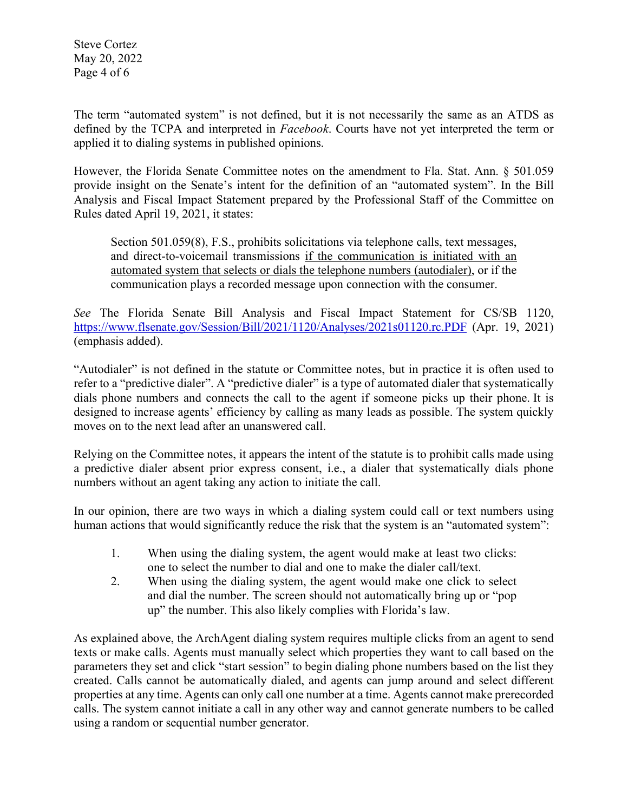Steve Cortez May 20, 2022 Page 4 of 6

The term "automated system" is not defined, but it is not necessarily the same as an ATDS as defined by the TCPA and interpreted in *Facebook*. Courts have not yet interpreted the term or applied it to dialing systems in published opinions.

However, the Florida Senate Committee notes on the amendment to Fla. Stat. Ann. § 501.059 provide insight on the Senate's intent for the definition of an "automated system". In the Bill Analysis and Fiscal Impact Statement prepared by the Professional Staff of the Committee on Rules dated April 19, 2021, it states:

Section 501.059(8), F.S., prohibits solicitations via telephone calls, text messages, and direct-to-voicemail transmissions if the communication is initiated with an automated system that selects or dials the telephone numbers (autodialer), or if the communication plays a recorded message upon connection with the consumer.

*See* The Florida Senate Bill Analysis and Fiscal Impact Statement for CS/SB 1120, <https://www.flsenate.gov/Session/Bill/2021/1120/Analyses/2021s01120.rc.PDF> (Apr. 19, 2021) (emphasis added).

"Autodialer" is not defined in the statute or Committee notes, but in practice it is often used to refer to a "predictive dialer". A "predictive dialer" is a type of automated dialer that systematically dials phone numbers and connects the call to the agent if someone picks up their phone. It is designed to increase agents' efficiency by calling as many leads as possible. The system quickly moves on to the next lead after an unanswered call.

Relying on the Committee notes, it appears the intent of the statute is to prohibit calls made using a predictive dialer absent prior express consent, i.e., a dialer that systematically dials phone numbers without an agent taking any action to initiate the call.

In our opinion, there are two ways in which a dialing system could call or text numbers using human actions that would significantly reduce the risk that the system is an "automated system":

- 1. When using the dialing system, the agent would make at least two clicks: one to select the number to dial and one to make the dialer call/text.
- 2. When using the dialing system, the agent would make one click to select and dial the number. The screen should not automatically bring up or "pop up" the number. This also likely complies with Florida's law.

As explained above, the ArchAgent dialing system requires multiple clicks from an agent to send texts or make calls. Agents must manually select which properties they want to call based on the parameters they set and click "start session" to begin dialing phone numbers based on the list they created. Calls cannot be automatically dialed, and agents can jump around and select different properties at any time. Agents can only call one number at a time. Agents cannot make prerecorded calls. The system cannot initiate a call in any other way and cannot generate numbers to be called using a random or sequential number generator.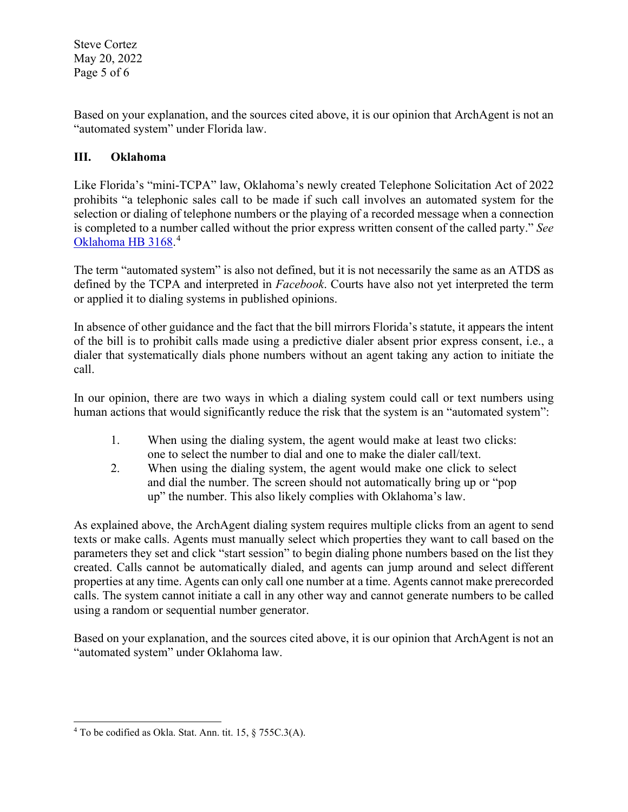Steve Cortez May 20, 2022 Page 5 of 6

Based on your explanation, and the sources cited above, it is our opinion that ArchAgent is not an "automated system" under Florida law.

# **III. Oklahoma**

Like Florida's "mini-TCPA" law, Oklahoma's newly created Telephone Solicitation Act of 2022 prohibits "a telephonic sales call to be made if such call involves an automated system for the selection or dialing of telephone numbers or the playing of a recorded message when a connection is completed to a number called without the prior express written consent of the called party." *See*  [Oklahoma HB 3168.](https://legiscan.com/OK/text/HB3168/id/2584616/Oklahoma-2022-HB3168-Enrolled.pdf) [4](#page-4-0)

The term "automated system" is also not defined, but it is not necessarily the same as an ATDS as defined by the TCPA and interpreted in *Facebook*. Courts have also not yet interpreted the term or applied it to dialing systems in published opinions.

In absence of other guidance and the fact that the bill mirrors Florida's statute, it appears the intent of the bill is to prohibit calls made using a predictive dialer absent prior express consent, i.e., a dialer that systematically dials phone numbers without an agent taking any action to initiate the call.

In our opinion, there are two ways in which a dialing system could call or text numbers using human actions that would significantly reduce the risk that the system is an "automated system":

- 1. When using the dialing system, the agent would make at least two clicks: one to select the number to dial and one to make the dialer call/text.
- 2. When using the dialing system, the agent would make one click to select and dial the number. The screen should not automatically bring up or "pop up" the number. This also likely complies with Oklahoma's law.

As explained above, the ArchAgent dialing system requires multiple clicks from an agent to send texts or make calls. Agents must manually select which properties they want to call based on the parameters they set and click "start session" to begin dialing phone numbers based on the list they created. Calls cannot be automatically dialed, and agents can jump around and select different properties at any time. Agents can only call one number at a time. Agents cannot make prerecorded calls. The system cannot initiate a call in any other way and cannot generate numbers to be called using a random or sequential number generator.

Based on your explanation, and the sources cited above, it is our opinion that ArchAgent is not an "automated system" under Oklahoma law.

<span id="page-4-0"></span><sup>4</sup> To be codified as Okla. Stat. Ann. tit. 15, § 755C.3(A).